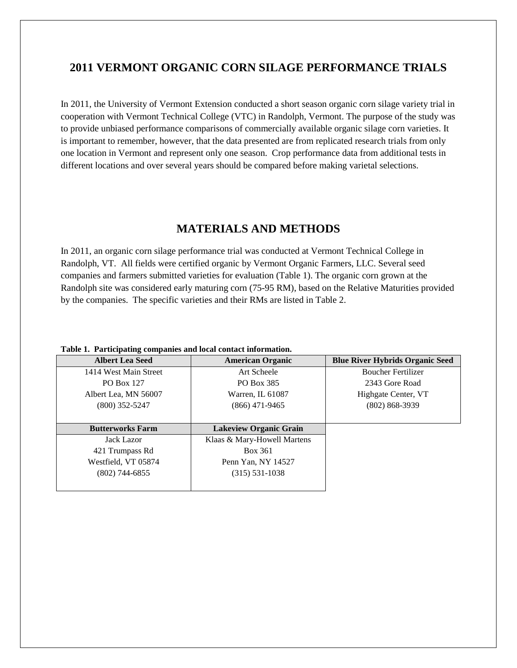# **2011 VERMONT ORGANIC CORN SILAGE PERFORMANCE TRIALS**

In 2011, the University of Vermont Extension conducted a short season organic corn silage variety trial in cooperation with Vermont Technical College (VTC) in Randolph, Vermont. The purpose of the study was to provide unbiased performance comparisons of commercially available organic silage corn varieties. It is important to remember, however, that the data presented are from replicated research trials from only one location in Vermont and represent only one season. Crop performance data from additional tests in different locations and over several years should be compared before making varietal selections.

# **MATERIALS AND METHODS**

In 2011, an organic corn silage performance trial was conducted at Vermont Technical College in Randolph, VT. All fields were certified organic by Vermont Organic Farmers, LLC. Several seed companies and farmers submitted varieties for evaluation (Table 1). The organic corn grown at the Randolph site was considered early maturing corn (75-95 RM), based on the Relative Maturities provided by the companies. The specific varieties and their RMs are listed in Table 2.

| <b>Albert Lea Seed</b>  | <b>American Organic</b>       | <b>Blue River Hybrids Organic Seed</b> |
|-------------------------|-------------------------------|----------------------------------------|
| 1414 West Main Street   | Art Scheele                   | <b>Boucher Fertilizer</b>              |
| PO Box 127              | PO Box 385                    | 2343 Gore Road                         |
| Albert Lea, MN 56007    | Warren, IL 61087              | Highgate Center, VT                    |
| $(800)$ 352-5247        | $(866)$ 471-9465              | $(802) 868 - 3939$                     |
|                         |                               |                                        |
| <b>Butterworks Farm</b> | <b>Lakeview Organic Grain</b> |                                        |
| <b>Jack Lazor</b>       | Klaas & Mary-Howell Martens   |                                        |
| 421 Trumpass Rd         | Box 361                       |                                        |
| Westfield, VT 05874     | Penn Yan, NY 14527            |                                        |
| $(802)$ 744-6855        | $(315) 531 - 1038$            |                                        |
|                         |                               |                                        |

**Table 1. Participating companies and local contact information.**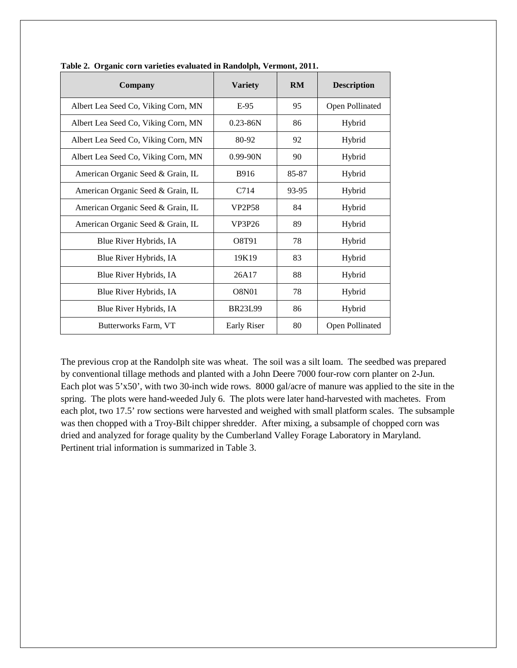| Company                             | <b>Variety</b>     | RM    | <b>Description</b> |
|-------------------------------------|--------------------|-------|--------------------|
| Albert Lea Seed Co, Viking Corn, MN | $E-95$             | 95    | Open Pollinated    |
| Albert Lea Seed Co, Viking Corn, MN | $0.23 - 86N$       | 86    | Hybrid             |
| Albert Lea Seed Co, Viking Corn, MN | 80-92              | 92    | Hybrid             |
| Albert Lea Seed Co, Viking Corn, MN | $0.99 - 90N$       | 90    | Hybrid             |
| American Organic Seed & Grain, IL   | B916               | 85-87 | Hybrid             |
| American Organic Seed & Grain, IL   | C714               | 93-95 | Hybrid             |
| American Organic Seed & Grain, IL   | <b>VP2P58</b>      | 84    | Hybrid             |
| American Organic Seed & Grain, IL   | VP3P26             | 89    | Hybrid             |
| Blue River Hybrids, IA              | O8T91              | 78    | Hybrid             |
| Blue River Hybrids, IA              | 19K19              | 83    | Hybrid             |
| Blue River Hybrids, IA              | 26A17              | 88    | Hybrid             |
| Blue River Hybrids, IA              | <b>O8N01</b>       | 78    | Hybrid             |
| Blue River Hybrids, IA              | <b>BR23L99</b>     | 86    | Hybrid             |
| Butterworks Farm, VT                | <b>Early Riser</b> | 80    | Open Pollinated    |

**Table 2. Organic corn varieties evaluated in Randolph, Vermont, 2011.**

The previous crop at the Randolph site was wheat. The soil was a silt loam. The seedbed was prepared by conventional tillage methods and planted with a John Deere 7000 four-row corn planter on 2-Jun. Each plot was 5'x50', with two 30-inch wide rows. 8000 gal/acre of manure was applied to the site in the spring. The plots were hand-weeded July 6. The plots were later hand-harvested with machetes. From each plot, two 17.5' row sections were harvested and weighed with small platform scales. The subsample was then chopped with a Troy-Bilt chipper shredder. After mixing, a subsample of chopped corn was dried and analyzed for forage quality by the Cumberland Valley Forage Laboratory in Maryland. Pertinent trial information is summarized in Table 3.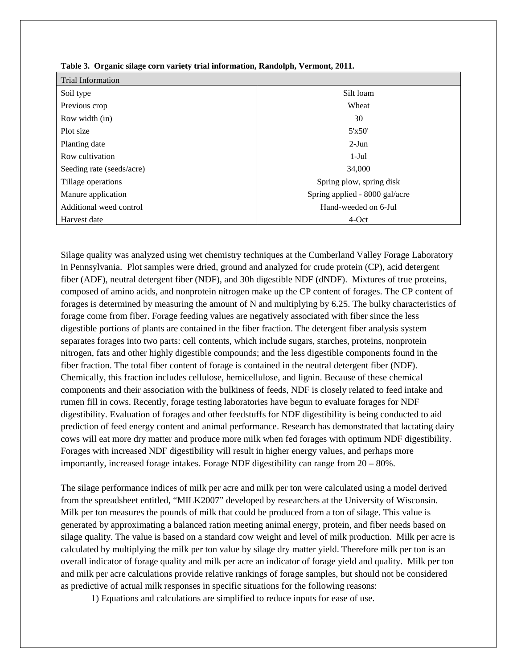| <b>Trial Information</b>  |                                |  |  |  |  |
|---------------------------|--------------------------------|--|--|--|--|
| Soil type                 | Silt loam                      |  |  |  |  |
| Previous crop             | Wheat                          |  |  |  |  |
| Row width (in)            | 30                             |  |  |  |  |
| Plot size                 | 5'x50'                         |  |  |  |  |
| Planting date             | $2-J$ un                       |  |  |  |  |
| Row cultivation           | $1-Jul$                        |  |  |  |  |
| Seeding rate (seeds/acre) | 34,000                         |  |  |  |  |
| Tillage operations        | Spring plow, spring disk       |  |  |  |  |
| Manure application        | Spring applied - 8000 gal/acre |  |  |  |  |
| Additional weed control   | Hand-weeded on 6-Jul           |  |  |  |  |
| Harvest date              | 4-Oct                          |  |  |  |  |

|  | Table 3. Organic silage corn variety trial information, Randolph, Vermont, 2011. |  |  |
|--|----------------------------------------------------------------------------------|--|--|
|  |                                                                                  |  |  |

Silage quality was analyzed using wet chemistry techniques at the Cumberland Valley Forage Laboratory in Pennsylvania. Plot samples were dried, ground and analyzed for crude protein (CP), acid detergent fiber (ADF), neutral detergent fiber (NDF), and 30h digestible NDF (dNDF). Mixtures of true proteins, composed of amino acids, and nonprotein nitrogen make up the CP content of forages. The CP content of forages is determined by measuring the amount of N and multiplying by 6.25. The bulky characteristics of forage come from fiber. Forage feeding values are negatively associated with fiber since the less digestible portions of plants are contained in the fiber fraction. The detergent fiber analysis system separates forages into two parts: cell contents, which include sugars, starches, proteins, nonprotein nitrogen, fats and other highly digestible compounds; and the less digestible components found in the fiber fraction. The total fiber content of forage is contained in the neutral detergent fiber (NDF). Chemically, this fraction includes cellulose, hemicellulose, and lignin. Because of these chemical components and their association with the bulkiness of feeds, NDF is closely related to feed intake and rumen fill in cows. Recently, forage testing laboratories have begun to evaluate forages for NDF digestibility. Evaluation of forages and other feedstuffs for NDF digestibility is being conducted to aid prediction of feed energy content and animal performance. Research has demonstrated that lactating dairy cows will eat more dry matter and produce more milk when fed forages with optimum NDF digestibility. Forages with increased NDF digestibility will result in higher energy values, and perhaps more importantly, increased forage intakes. Forage NDF digestibility can range from 20 – 80%.

The silage performance indices of milk per acre and milk per ton were calculated using a model derived from the spreadsheet entitled, "MILK2007" developed by researchers at the University of Wisconsin. Milk per ton measures the pounds of milk that could be produced from a ton of silage. This value is generated by approximating a balanced ration meeting animal energy, protein, and fiber needs based on silage quality. The value is based on a standard cow weight and level of milk production. Milk per acre is calculated by multiplying the milk per ton value by silage dry matter yield. Therefore milk per ton is an overall indicator of forage quality and milk per acre an indicator of forage yield and quality. Milk per ton and milk per acre calculations provide relative rankings of forage samples, but should not be considered as predictive of actual milk responses in specific situations for the following reasons:

1) Equations and calculations are simplified to reduce inputs for ease of use.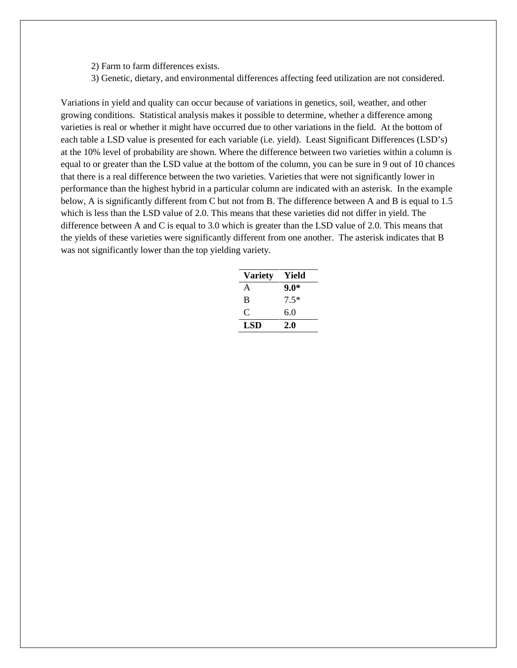- 2) Farm to farm differences exists.
- 3) Genetic, dietary, and environmental differences affecting feed utilization are not considered.

Variations in yield and quality can occur because of variations in genetics, soil, weather, and other growing conditions. Statistical analysis makes it possible to determine, whether a difference among varieties is real or whether it might have occurred due to other variations in the field. At the bottom of each table a LSD value is presented for each variable (i.e. yield). Least Significant Differences (LSD's) at the 10% level of probability are shown. Where the difference between two varieties within a column is equal to or greater than the LSD value at the bottom of the column, you can be sure in 9 out of 10 chances that there is a real difference between the two varieties. Varieties that were not significantly lower in performance than the highest hybrid in a particular column are indicated with an asterisk. In the example below, A is significantly different from C but not from B. The difference between A and B is equal to 1.5 which is less than the LSD value of 2.0. This means that these varieties did not differ in yield. The difference between A and C is equal to 3.0 which is greater than the LSD value of 2.0. This means that the yields of these varieties were significantly different from one another. The asterisk indicates that B was not significantly lower than the top yielding variety.

| <b>Variety</b> | Yield  |
|----------------|--------|
| A              | $9.0*$ |
| B              | $7.5*$ |
| €              | 6.0    |
| LSD            | 2.0    |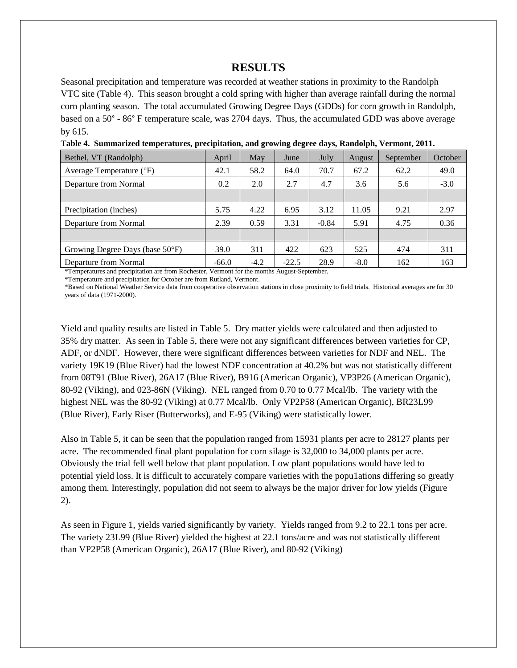### **RESULTS**

Seasonal precipitation and temperature was recorded at weather stations in proximity to the Randolph VTC site (Table 4). This season brought a cold spring with higher than average rainfall during the normal corn planting season. The total accumulated Growing Degree Days (GDDs) for corn growth in Randolph, based on a 50° - 86° F temperature scale, was 2704 days. Thus, the accumulated GDD was above average by 615.

| Bethel, VT (Randolph)                     | April   | May    | June    | July    | August | September | October |
|-------------------------------------------|---------|--------|---------|---------|--------|-----------|---------|
| Average Temperature (°F)                  | 42.1    | 58.2   | 64.0    | 70.7    | 67.2   | 62.2      | 49.0    |
| Departure from Normal                     | 0.2     | 2.0    | 2.7     | 4.7     | 3.6    | 5.6       | $-3.0$  |
|                                           |         |        |         |         |        |           |         |
| Precipitation (inches)                    | 5.75    | 4.22   | 6.95    | 3.12    | 11.05  | 9.21      | 2.97    |
| Departure from Normal                     | 2.39    | 0.59   | 3.31    | $-0.84$ | 5.91   | 4.75      | 0.36    |
|                                           |         |        |         |         |        |           |         |
| Growing Degree Days (base $50^{\circ}$ F) | 39.0    | 311    | 422     | 623     | 525    | 474       | 311     |
| Departure from Normal                     | $-66.0$ | $-4.2$ | $-22.5$ | 28.9    | $-8.0$ | 162       | 163     |

**Table 4. Summarized temperatures, precipitation, and growing degree days, Randolph, Vermont, 2011.**

\*Temperatures and precipitation are from Rochester, Vermont for the months August-September.

\*Temperature and precipitation for October are from Rutland, Vermont.

\*Based on National Weather Service data from cooperative observation stations in close proximity to field trials. Historical averages are for 30 years of data (1971-2000).

Yield and quality results are listed in Table 5. Dry matter yields were calculated and then adjusted to 35% dry matter. As seen in Table 5, there were not any significant differences between varieties for CP, ADF, or dNDF. However, there were significant differences between varieties for NDF and NEL. The variety 19K19 (Blue River) had the lowest NDF concentration at 40.2% but was not statistically different from 08T91 (Blue River), 26A17 (Blue River), B916 (American Organic), VP3P26 (American Organic), 80-92 (Viking), and 023-86N (Viking). NEL ranged from 0.70 to 0.77 Mcal/lb. The variety with the highest NEL was the 80-92 (Viking) at 0.77 Mcal/lb. Only VP2P58 (American Organic), BR23L99 (Blue River), Early Riser (Butterworks), and E-95 (Viking) were statistically lower.

Also in Table 5, it can be seen that the population ranged from 15931 plants per acre to 28127 plants per acre. The recommended final plant population for corn silage is 32,000 to 34,000 plants per acre. Obviously the trial fell well below that plant population. Low plant populations would have led to potential yield loss. It is difficult to accurately compare varieties with the popu1ations differing so greatly among them. Interestingly, population did not seem to always be the major driver for low yields (Figure 2).

As seen in Figure 1, yields varied significantly by variety. Yields ranged from 9.2 to 22.1 tons per acre. The variety 23L99 (Blue River) yielded the highest at 22.1 tons/acre and was not statistically different than VP2P58 (American Organic), 26A17 (Blue River), and 80-92 (Viking)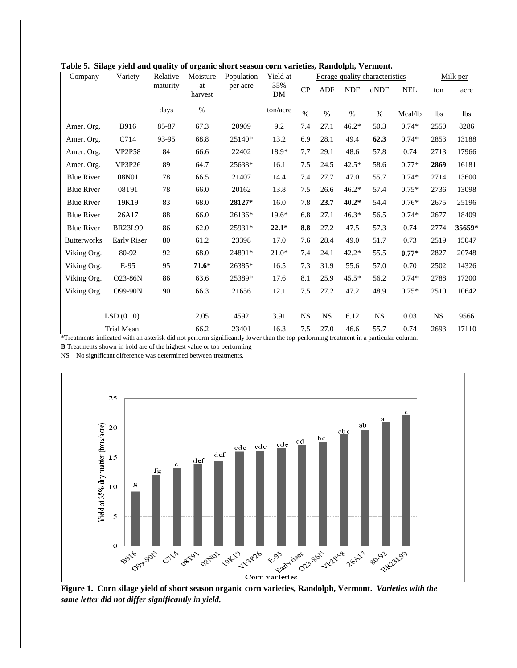| Company            | Variety        | Relative | Moisture      | et simge jierd and quanty of organic short season corn rariencs,<br>Population | Yield at  |           | Forage quality characteristics |            |           | Milk per   |            |            |
|--------------------|----------------|----------|---------------|--------------------------------------------------------------------------------|-----------|-----------|--------------------------------|------------|-----------|------------|------------|------------|
|                    |                | maturity | at<br>harvest | per acre                                                                       | 35%<br>DM | CP        | <b>ADF</b>                     | <b>NDF</b> | dNDF      | <b>NEL</b> | ton        | acre       |
|                    |                | days     | $\%$          |                                                                                | ton/acre  | $\%$      | $\%$                           | $\%$       | $\%$      | Mcal/lb    | <b>lbs</b> | <b>lbs</b> |
| Amer. Org.         | <b>B916</b>    | 85-87    | 67.3          | 20909                                                                          | 9.2       | 7.4       | 27.1                           | $46.2*$    | 50.3      | $0.74*$    | 2550       | 8286       |
| Amer. Org.         | C714           | 93-95    | 68.8          | 25140*                                                                         | 13.2      | 6.9       | 28.1                           | 49.4       | 62.3      | $0.74*$    | 2853       | 13188      |
| Amer. Org.         | <b>VP2P58</b>  | 84       | 66.6          | 22402                                                                          | 18.9*     | 7.7       | 29.1                           | 48.6       | 57.8      | 0.74       | 2713       | 17966      |
| Amer. Org.         | <b>VP3P26</b>  | 89       | 64.7          | 25638*                                                                         | 16.1      | 7.5       | 24.5                           | $42.5*$    | 58.6      | $0.77*$    | 2869       | 16181      |
| <b>Blue River</b>  | 08N01          | 78       | 66.5          | 21407                                                                          | 14.4      | 7.4       | 27.7                           | 47.0       | 55.7      | $0.74*$    | 2714       | 13600      |
| <b>Blue River</b>  | 08T91          | 78       | 66.0          | 20162                                                                          | 13.8      | 7.5       | 26.6                           | $46.2*$    | 57.4      | $0.75*$    | 2736       | 13098      |
| <b>Blue River</b>  | 19K19          | 83       | 68.0          | 28127*                                                                         | 16.0      | 7.8       | 23.7                           | $40.2*$    | 54.4      | $0.76*$    | 2675       | 25196      |
| <b>Blue River</b>  | 26A17          | 88       | 66.0          | 26136*                                                                         | $19.6*$   | 6.8       | 27.1                           | $46.3*$    | 56.5      | $0.74*$    | 2677       | 18409      |
| <b>Blue River</b>  | <b>BR23L99</b> | 86       | 62.0          | 25931*                                                                         | $22.1*$   | 8.8       | 27.2                           | 47.5       | 57.3      | 0.74       | 2774       | 35659*     |
| <b>Butterworks</b> | Early Riser    | 80       | 61.2          | 23398                                                                          | 17.0      | 7.6       | 28.4                           | 49.0       | 51.7      | 0.73       | 2519       | 15047      |
| Viking Org.        | 80-92          | 92       | 68.0          | 24891*                                                                         | $21.0*$   | 7.4       | 24.1                           | $42.2*$    | 55.5      | $0.77*$    | 2827       | 20748      |
| Viking Org.        | $E-95$         | 95       | $71.6*$       | 26385*                                                                         | 16.5      | 7.3       | 31.9                           | 55.6       | 57.0      | 0.70       | 2502       | 14326      |
| Viking Org.        | O23-86N        | 86       | 63.6          | 25389*                                                                         | 17.6      | 8.1       | 25.9                           | $45.5*$    | 56.2      | $0.74*$    | 2788       | 17200      |
| Viking Org.        | O99-90N        | 90       | 66.3          | 21656                                                                          | 12.1      | 7.5       | 27.2                           | 47.2       | 48.9      | $0.75*$    | 2510       | 10642      |
|                    |                |          |               |                                                                                |           |           |                                |            |           |            |            |            |
|                    | LSD(0.10)      |          | 2.05          | 4592                                                                           | 3.91      | <b>NS</b> | <b>NS</b>                      | 6.12       | <b>NS</b> | 0.03       | <b>NS</b>  | 9566       |
|                    | Trial Mean     |          | 66.2          | 23401                                                                          | 16.3      | 7.5       | 27.0                           | 46.6       | 55.7      | 0.74       | 2693       | 17110      |

|  | Table 5. Silage yield and quality of organic short season corn varieties, Randolph, Vermont. |  |  |
|--|----------------------------------------------------------------------------------------------|--|--|
|  |                                                                                              |  |  |

\*Treatments indicated with an asterisk did not perform significantly lower than the top-performing treatment in a particular column.

**B** Treatments shown in bold are of the highest value or top performing

NS – No significant difference was determined between treatments.



**Figure 1. Corn silage yield of short season organic corn varieties, Randolph, Vermont.** *Varieties with the same letter did not differ significantly in yield.*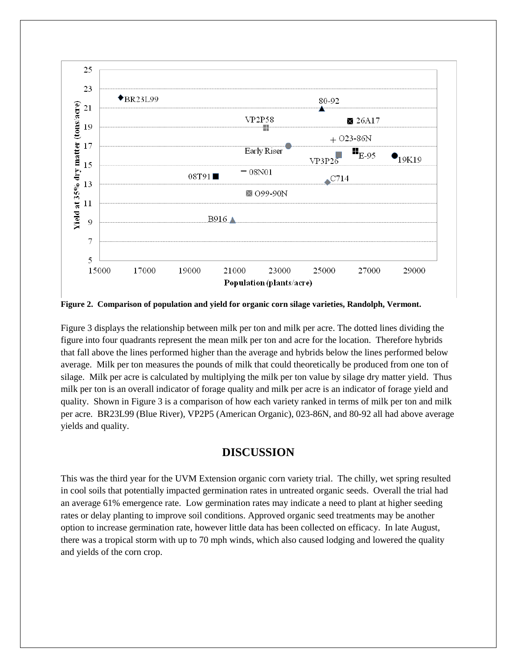

**Figure 2. Comparison of population and yield for organic corn silage varieties, Randolph, Vermont.**

Figure 3 displays the relationship between milk per ton and milk per acre. The dotted lines dividing the figure into four quadrants represent the mean milk per ton and acre for the location. Therefore hybrids that fall above the lines performed higher than the average and hybrids below the lines performed below average. Milk per ton measures the pounds of milk that could theoretically be produced from one ton of silage. Milk per acre is calculated by multiplying the milk per ton value by silage dry matter yield. Thus milk per ton is an overall indicator of forage quality and milk per acre is an indicator of forage yield and quality. Shown in Figure 3 is a comparison of how each variety ranked in terms of milk per ton and milk per acre. BR23L99 (Blue River), VP2P5 (American Organic), 023-86N, and 80-92 all had above average yields and quality.

#### **DISCUSSION**

This was the third year for the UVM Extension organic corn variety trial. The chilly, wet spring resulted in cool soils that potentially impacted germination rates in untreated organic seeds. Overall the trial had an average 61% emergence rate. Low germination rates may indicate a need to plant at higher seeding rates or delay planting to improve soil conditions. Approved organic seed treatments may be another option to increase germination rate, however little data has been collected on efficacy. In late August, there was a tropical storm with up to 70 mph winds, which also caused lodging and lowered the quality and yields of the corn crop.